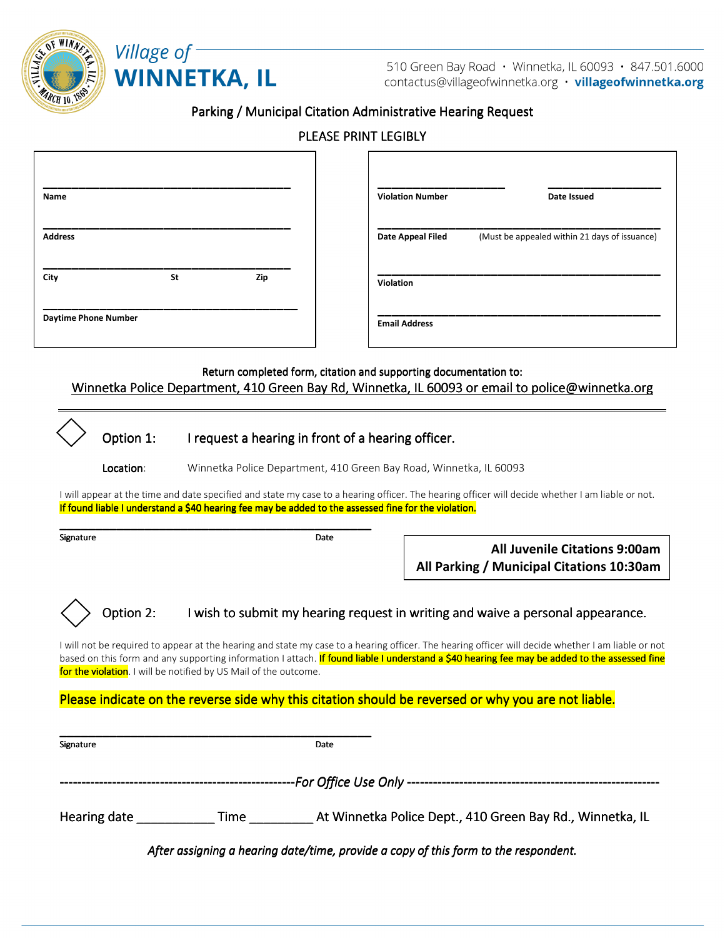

# Village of  $-$ **WINNETKA, IL**

510 Green Bay Road · Winnetka, IL 60093 · 847.501.6000 contactus@villageofwinnetka.org · villageofwinnetka.org

## Parking / Municipal Citation Administrative Hearing Request

### PLEASE PRINT LEGIBLY

| Name           |    |     |
|----------------|----|-----|
| <b>Address</b> |    |     |
| City           | St | Zip |

| <b>Date Appeal Filed</b> | (Must be appealed within 21 days of issuance) |
|--------------------------|-----------------------------------------------|
| Violation                |                                               |

#### Return completed form, citation and supporting documentation to: Winnetka Police Department, 410 Green Bay Rd, Winnetka, IL 60093 or email to police@winnetka.org

|                                                                                                                                                                                                                                                                                                                                                                                                                                                                         | Option 1:    | I request a hearing in front of a hearing officer.                                  |                                                                                   |  |  |  |  |
|-------------------------------------------------------------------------------------------------------------------------------------------------------------------------------------------------------------------------------------------------------------------------------------------------------------------------------------------------------------------------------------------------------------------------------------------------------------------------|--------------|-------------------------------------------------------------------------------------|-----------------------------------------------------------------------------------|--|--|--|--|
|                                                                                                                                                                                                                                                                                                                                                                                                                                                                         | Location:    | Winnetka Police Department, 410 Green Bay Road, Winnetka, IL 60093                  |                                                                                   |  |  |  |  |
| I will appear at the time and date specified and state my case to a hearing officer. The hearing officer will decide whether I am liable or not.<br>If found liable I understand a \$40 hearing fee may be added to the assessed fine for the violation.                                                                                                                                                                                                                |              |                                                                                     |                                                                                   |  |  |  |  |
| Signature                                                                                                                                                                                                                                                                                                                                                                                                                                                               |              | Date                                                                                | <b>All Juvenile Citations 9:00am</b><br>All Parking / Municipal Citations 10:30am |  |  |  |  |
| Option 2:<br>I wish to submit my hearing request in writing and waive a personal appearance.<br>I will not be required to appear at the hearing and state my case to a hearing officer. The hearing officer will decide whether I am liable or not<br>based on this form and any supporting information I attach. If found liable I understand a \$40 hearing fee may be added to the assessed fine<br>for the violation. I will be notified by US Mail of the outcome. |              |                                                                                     |                                                                                   |  |  |  |  |
| Please indicate on the reverse side why this citation should be reversed or why you are not liable.                                                                                                                                                                                                                                                                                                                                                                     |              |                                                                                     |                                                                                   |  |  |  |  |
| Signature                                                                                                                                                                                                                                                                                                                                                                                                                                                               |              | Date                                                                                |                                                                                   |  |  |  |  |
|                                                                                                                                                                                                                                                                                                                                                                                                                                                                         |              |                                                                                     |                                                                                   |  |  |  |  |
|                                                                                                                                                                                                                                                                                                                                                                                                                                                                         | Hearing date | At Winnetka Police Dept., 410 Green Bay Rd., Winnetka, IL<br>Time                   |                                                                                   |  |  |  |  |
|                                                                                                                                                                                                                                                                                                                                                                                                                                                                         |              | After assigning a hearing date/time, provide a copy of this form to the respondent. |                                                                                   |  |  |  |  |